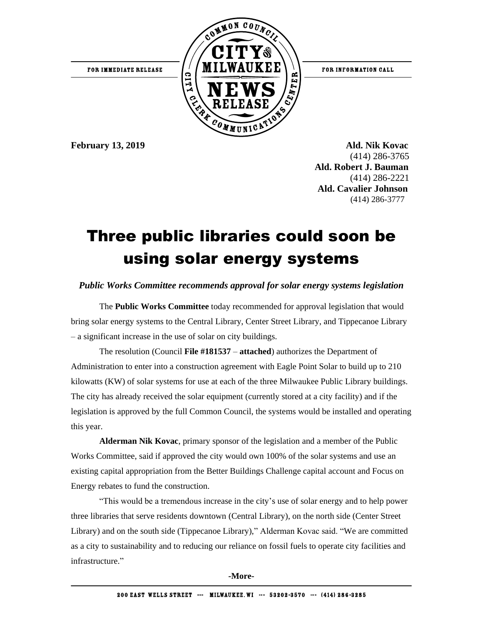

**February 13, 2019 Ald. Nik Kovac** (414) 286-3765  **Ald. Robert J. Bauman** (414) 286-2221 **Ald. Cavalier Johnson** (414) 286-3777

# Three public libraries could soon be using solar energy systems

## *Public Works Committee recommends approval for solar energy systems legislation*

The **Public Works Committee** today recommended for approval legislation that would bring solar energy systems to the Central Library, Center Street Library, and Tippecanoe Library – a significant increase in the use of solar on city buildings.

The resolution (Council **File #181537** – **attached**) authorizes the Department of Administration to enter into a construction agreement with Eagle Point Solar to build up to 210 kilowatts (KW) of solar systems for use at each of the three Milwaukee Public Library buildings. The city has already received the solar equipment (currently stored at a city facility) and if the legislation is approved by the full Common Council, the systems would be installed and operating this year.

**Alderman Nik Kovac**, primary sponsor of the legislation and a member of the Public Works Committee, said if approved the city would own 100% of the solar systems and use an existing capital appropriation from the Better Buildings Challenge capital account and Focus on Energy rebates to fund the construction.

"This would be a tremendous increase in the city's use of solar energy and to help power three libraries that serve residents downtown (Central Library), on the north side (Center Street Library) and on the south side (Tippecanoe Library)," Alderman Kovac said. "We are committed as a city to sustainability and to reducing our reliance on fossil fuels to operate city facilities and infrastructure."

**-More-**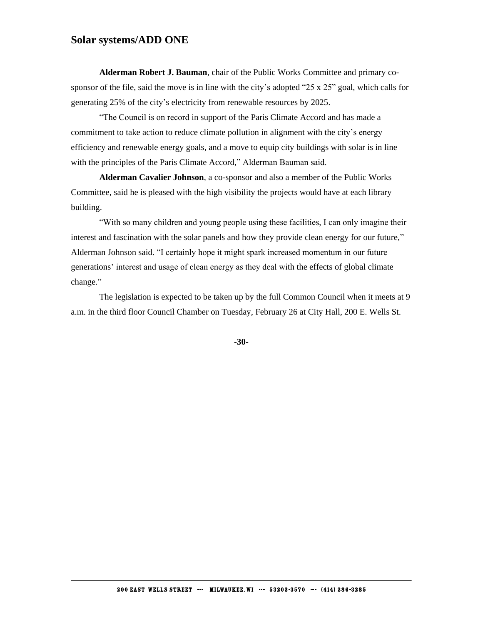## **Solar systems/ADD ONE**

**Alderman Robert J. Bauman**, chair of the Public Works Committee and primary cosponsor of the file, said the move is in line with the city's adopted "25 x 25" goal, which calls for generating 25% of the city's electricity from renewable resources by 2025.

"The Council is on record in support of the Paris Climate Accord and has made a commitment to take action to reduce climate pollution in alignment with the city's energy efficiency and renewable energy goals, and a move to equip city buildings with solar is in line with the principles of the Paris Climate Accord," Alderman Bauman said.

**Alderman Cavalier Johnson**, a co-sponsor and also a member of the Public Works Committee, said he is pleased with the high visibility the projects would have at each library building.

"With so many children and young people using these facilities, I can only imagine their interest and fascination with the solar panels and how they provide clean energy for our future," Alderman Johnson said. "I certainly hope it might spark increased momentum in our future generations' interest and usage of clean energy as they deal with the effects of global climate change."

The legislation is expected to be taken up by the full Common Council when it meets at 9 a.m. in the third floor Council Chamber on Tuesday, February 26 at City Hall, 200 E. Wells St.

**-30-**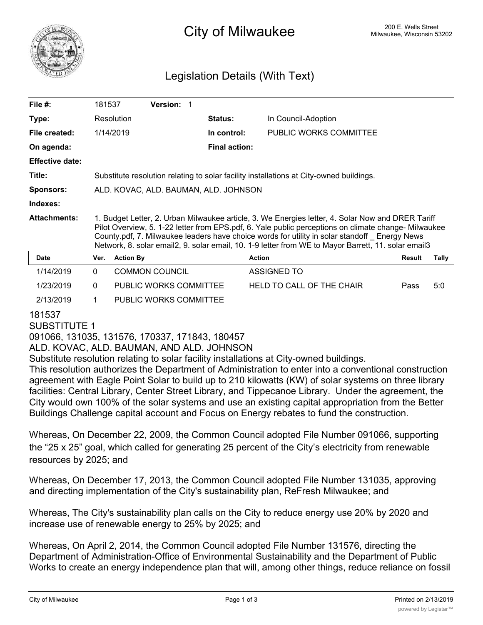

## <sup>200 E.</sup> Wells Street City of Milwaukee Milwaukee, Wisconsin 53202

## Legislation Details (With Text)

| File $#$ :             | 181537                                                                                                                                                                                                                                                                                                                                                                                                           |                  | <b>Version: 1</b>      |  |                      |               |                           |  |               |       |
|------------------------|------------------------------------------------------------------------------------------------------------------------------------------------------------------------------------------------------------------------------------------------------------------------------------------------------------------------------------------------------------------------------------------------------------------|------------------|------------------------|--|----------------------|---------------|---------------------------|--|---------------|-------|
| Type:                  |                                                                                                                                                                                                                                                                                                                                                                                                                  | Resolution       |                        |  | Status:              |               | In Council-Adoption       |  |               |       |
| File created:          |                                                                                                                                                                                                                                                                                                                                                                                                                  | 1/14/2019        |                        |  | In control:          |               | PUBLIC WORKS COMMITTEE    |  |               |       |
| On agenda:             |                                                                                                                                                                                                                                                                                                                                                                                                                  |                  |                        |  | <b>Final action:</b> |               |                           |  |               |       |
| <b>Effective date:</b> |                                                                                                                                                                                                                                                                                                                                                                                                                  |                  |                        |  |                      |               |                           |  |               |       |
| Title:                 | Substitute resolution relating to solar facility installations at City-owned buildings.                                                                                                                                                                                                                                                                                                                          |                  |                        |  |                      |               |                           |  |               |       |
| <b>Sponsors:</b>       | ALD. KOVAC, ALD. BAUMAN, ALD. JOHNSON                                                                                                                                                                                                                                                                                                                                                                            |                  |                        |  |                      |               |                           |  |               |       |
| Indexes:               |                                                                                                                                                                                                                                                                                                                                                                                                                  |                  |                        |  |                      |               |                           |  |               |       |
| <b>Attachments:</b>    | 1. Budget Letter, 2. Urban Milwaukee article, 3. We Energies letter, 4. Solar Now and DRER Tariff<br>Pilot Overview, 5. 1-22 letter from EPS.pdf, 6. Yale public perceptions on climate change- Milwaukee<br>County.pdf, 7. Milwaukee leaders have choice words for utility in solar standoff Energy News<br>Network, 8. solar email2, 9. solar email, 10. 1-9 letter from WE to Mayor Barrett, 11. solar email3 |                  |                        |  |                      |               |                           |  |               |       |
| <b>Date</b>            | Ver.                                                                                                                                                                                                                                                                                                                                                                                                             | <b>Action By</b> |                        |  |                      | <b>Action</b> |                           |  | <b>Result</b> | Tally |
| 1/14/2019              | $\Omega$                                                                                                                                                                                                                                                                                                                                                                                                         |                  | <b>COMMON COUNCIL</b>  |  |                      | ASSIGNED TO   |                           |  |               |       |
| 1/23/2019              | $\Omega$                                                                                                                                                                                                                                                                                                                                                                                                         |                  | PUBLIC WORKS COMMITTEE |  |                      |               | HELD TO CALL OF THE CHAIR |  | Pass          | 5:0   |
| 2/13/2019              | 1.                                                                                                                                                                                                                                                                                                                                                                                                               |                  | PUBLIC WORKS COMMITTEE |  |                      |               |                           |  |               |       |

## 181537

### SUBSTITUTE 1

091066, 131035, 131576, 170337, 171843, 180457

ALD. KOVAC, ALD. BAUMAN, AND ALD. JOHNSON

Substitute resolution relating to solar facility installations at City-owned buildings.

This resolution authorizes the Department of Administration to enter into a conventional construction agreement with Eagle Point Solar to build up to 210 kilowatts (KW) of solar systems on three library facilities: Central Library, Center Street Library, and Tippecanoe Library. Under the agreement, the City would own 100% of the solar systems and use an existing capital appropriation from the Better Buildings Challenge capital account and Focus on Energy rebates to fund the construction.

Whereas, On December 22, 2009, the Common Council adopted File Number 091066, supporting the "25 x 25" goal, which called for generating 25 percent of the City's electricity from renewable resources by 2025; and

Whereas, On December 17, 2013, the Common Council adopted File Number 131035, approving and directing implementation of the City's sustainability plan, ReFresh Milwaukee; and

Whereas, The City's sustainability plan calls on the City to reduce energy use 20% by 2020 and increase use of renewable energy to 25% by 2025; and

Whereas, On April 2, 2014, the Common Council adopted File Number 131576, directing the Department of Administration-Office of Environmental Sustainability and the Department of Public Works to create an energy independence plan that will, among other things, reduce reliance on fossil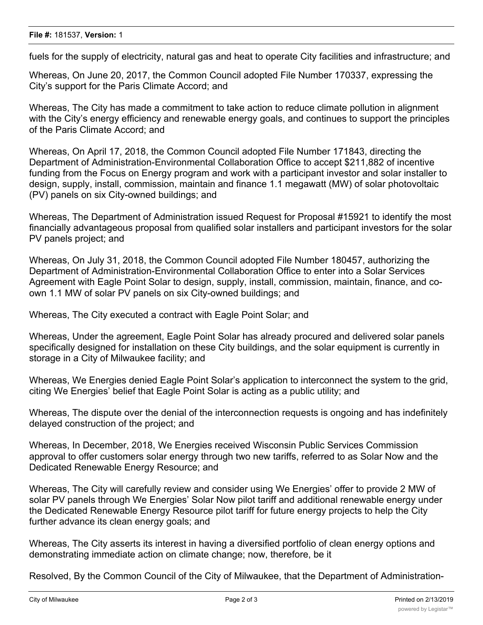#### **File #:** 181537, **Version:** 1

fuels for the supply of electricity, natural gas and heat to operate City facilities and infrastructure; and

Whereas, On June 20, 2017, the Common Council adopted File Number 170337, expressing the City's support for the Paris Climate Accord; and

Whereas, The City has made a commitment to take action to reduce climate pollution in alignment with the City's energy efficiency and renewable energy goals, and continues to support the principles of the Paris Climate Accord; and

Whereas, On April 17, 2018, the Common Council adopted File Number 171843, directing the Department of Administration-Environmental Collaboration Office to accept \$211,882 of incentive funding from the Focus on Energy program and work with a participant investor and solar installer to design, supply, install, commission, maintain and finance 1.1 megawatt (MW) of solar photovoltaic (PV) panels on six City-owned buildings; and

Whereas, The Department of Administration issued Request for Proposal #15921 to identify the most financially advantageous proposal from qualified solar installers and participant investors for the solar PV panels project; and

Whereas, On July 31, 2018, the Common Council adopted File Number 180457, authorizing the Department of Administration-Environmental Collaboration Office to enter into a Solar Services Agreement with Eagle Point Solar to design, supply, install, commission, maintain, finance, and coown 1.1 MW of solar PV panels on six City-owned buildings; and

Whereas, The City executed a contract with Eagle Point Solar; and

Whereas, Under the agreement, Eagle Point Solar has already procured and delivered solar panels specifically designed for installation on these City buildings, and the solar equipment is currently in storage in a City of Milwaukee facility; and

Whereas, We Energies denied Eagle Point Solar's application to interconnect the system to the grid, citing We Energies' belief that Eagle Point Solar is acting as a public utility; and

Whereas, The dispute over the denial of the interconnection requests is ongoing and has indefinitely delayed construction of the project; and

Whereas, In December, 2018, We Energies received Wisconsin Public Services Commission approval to offer customers solar energy through two new tariffs, referred to as Solar Now and the Dedicated Renewable Energy Resource; and

Whereas, The City will carefully review and consider using We Energies' offer to provide 2 MW of solar PV panels through We Energies' Solar Now pilot tariff and additional renewable energy under the Dedicated Renewable Energy Resource pilot tariff for future energy projects to help the City further advance its clean energy goals; and

Whereas, The City asserts its interest in having a diversified portfolio of clean energy options and demonstrating immediate action on climate change; now, therefore, be it

Resolved, By the Common Council of the City of Milwaukee, that the Department of Administration-